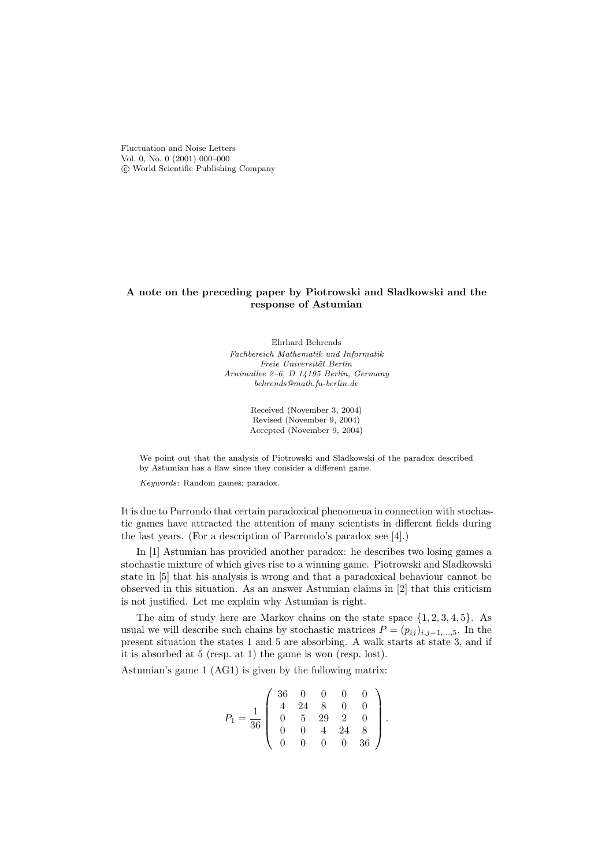Fluctuation and Noise Letters Vol. 0, No. 0 (2001) 000–000 c World Scientific Publishing Company

## A note on the preceding paper by Piotrowski and Sladkowski and the response of Astumian

Ehrhard Behrends Fachbereich Mathematik und Informatik Freie Universität Berlin Arnimallee 2–6, D 14195 Berlin, Germany behrends@math.fu-berlin.de

> Received (November 3, 2004) Revised (November 9, 2004) Accepted (November 9, 2004)

We point out that the analysis of Piotrowski and Sladkowski of the paradox described by Astumian has a flaw since they consider a different game.

Keywords: Random games; paradox.

It is due to Parrondo that certain paradoxical phenomena in connection with stochastic games have attracted the attention of many scientists in different fields during the last years. (For a description of Parrondo's paradox see [4].)

In [1] Astumian has provided another paradox: he describes two losing games a stochastic mixture of which gives rise to a winning game. Piotrowski and Sladkowski state in [5] that his analysis is wrong and that a paradoxical behaviour cannot be observed in this situation. As an answer Astumian claims in [2] that this criticism is not justified. Let me explain why Astumian is right.

The aim of study here are Markov chains on the state space  $\{1, 2, 3, 4, 5\}$ . As usual we will describe such chains by stochastic matrices  $P = (p_{ij})_{i,j=1,\dots,5}$ . In the present situation the states 1 and 5 are absorbing. A walk starts at state 3, and if it is absorbed at 5 (resp. at 1) the game is won (resp. lost).

Astumian's game 1 (AG1) is given by the following matrix:

$$
P_1 = \frac{1}{36} \left( \begin{array}{cccc} 36 & 0 & 0 & 0 & 0 \\ 4 & 24 & 8 & 0 & 0 \\ 0 & 5 & 29 & 2 & 0 \\ 0 & 0 & 4 & 24 & 8 \\ 0 & 0 & 0 & 0 & 36 \end{array} \right).
$$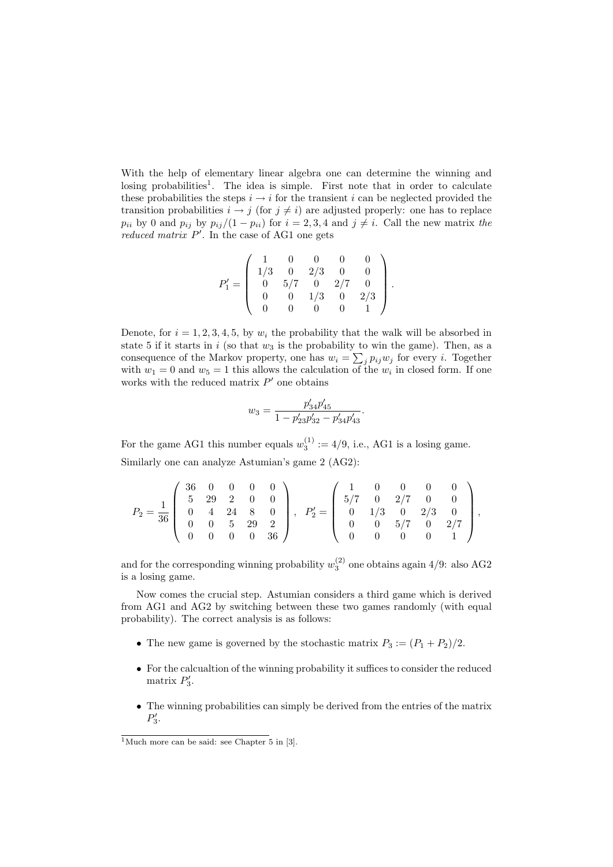With the help of elementary linear algebra one can determine the winning and losing probabilities<sup>1</sup>. The idea is simple. First note that in order to calculate these probabilities the steps  $i \rightarrow i$  for the transient i can be neglected provided the transition probabilities  $i \rightarrow j$  (for  $j \neq i$ ) are adjusted properly: one has to replace  $p_{ii}$  by 0 and  $p_{ij}$  by  $p_{ij}/(1-p_{ii})$  for  $i=2,3,4$  and  $j\neq i$ . Call the new matrix the reduced matrix  $P'$ . In the case of AG1 one gets

$$
P_1'=\left(\begin{array}{cccccc}1 & 0 & 0 & 0 & 0 \\1/3 & 0 & 2/3 & 0 & 0 \\0 & 5/7 & 0 & 2/7 & 0 \\0 & 0 & 1/3 & 0 & 2/3 \\0 & 0 & 0 & 0 & 1\end{array}\right).
$$

Denote, for  $i = 1, 2, 3, 4, 5$ , by  $w_i$  the probability that the walk will be absorbed in state 5 if it starts in  $i$  (so that  $w_3$  is the probability to win the game). Then, as a consequence of the Markov property, one has  $w_i = \sum_j p_{ij} w_j$  for every i. Together with  $w_1 = 0$  and  $w_5 = 1$  this allows the calculation of the  $w_i$  in closed form. If one works with the reduced matrix  $P'$  one obtains

$$
w_3 = \frac{p'_{34}p'_{45}}{1 - p'_{23}p'_{32} - p'_{34}p'_{43}}.
$$

For the game AG1 this number equals  $w_3^{(1)} := 4/9$ , i.e., AG1 is a losing game. Similarly one can analyze Astumian's game 2 (AG2):

$$
P_2 = \frac{1}{36} \begin{pmatrix} 36 & 0 & 0 & 0 & 0 \\ 5 & 29 & 2 & 0 & 0 \\ 0 & 4 & 24 & 8 & 0 \\ 0 & 0 & 5 & 29 & 2 \\ 0 & 0 & 0 & 0 & 36 \end{pmatrix}, \quad P_2' = \begin{pmatrix} 1 & 0 & 0 & 0 & 0 \\ 5/7 & 0 & 2/7 & 0 & 0 \\ 0 & 1/3 & 0 & 2/3 & 0 \\ 0 & 0 & 5/7 & 0 & 2/7 \\ 0 & 0 & 0 & 0 & 1 \end{pmatrix},
$$

and for the corresponding winning probability  $w_3^{(2)}$  one obtains again 4/9: also AG2 is a losing game.

Now comes the crucial step. Astumian considers a third game which is derived from AG1 and AG2 by switching between these two games randomly (with equal probability). The correct analysis is as follows:

- The new game is governed by the stochastic matrix  $P_3 := (P_1 + P_2)/2$ .
- For the calcualtion of the winning probability it suffices to consider the reduced matrix  $P'_3$ .
- The winning probabilities can simply be derived from the entries of the matrix  $P_3'$ .

<sup>&</sup>lt;sup>1</sup>Much more can be said: see Chapter  $5$  in [3].